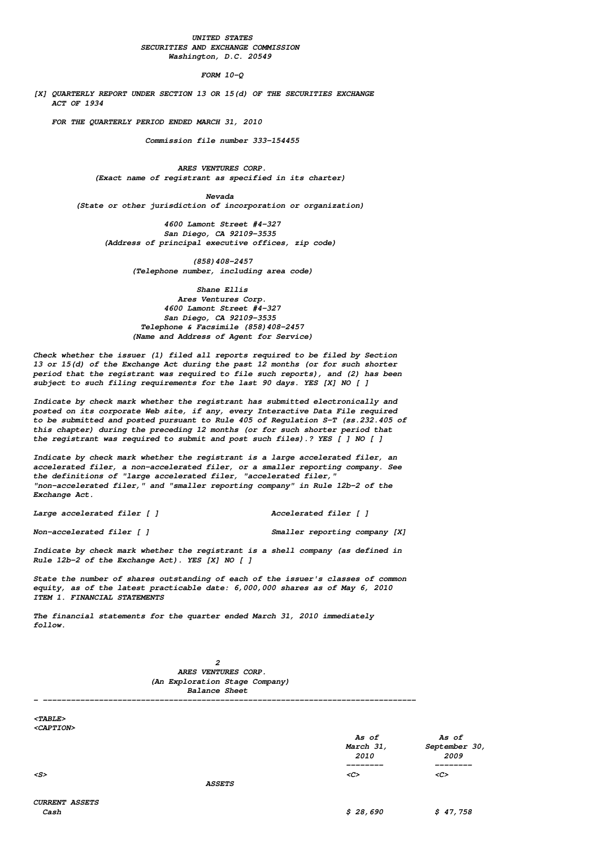# **UNITED STATES SECURITIES AND EXCHANGE COMMISSION Washington, D.C. 20549**

**FORM 10-Q**

**[X] QUARTERLY REPORT UNDER SECTION 13 OR 15(d) OF THE SECURITIES EXCHANGE ACT OF 1934**

**FOR THE QUARTERLY PERIOD ENDED MARCH 31, 2010**

**Commission file number 333-154455**

**ARES VENTURES CORP. (Exact name of registrant as specified in its charter)**

**Nevada (State or other jurisdiction of incorporation or organization)**

**4600 Lamont Street #4-327 San Diego, CA 92109-3535 (Address of principal executive offices, zip code)**

> **(858)408-2457 (Telephone number, including area code)**

> **Shane Ellis Ares Ventures Corp. 4600 Lamont Street #4-327 San Diego, CA 92109-3535 Telephone & Facsimile (858)408-2457 (Name and Address of Agent for Service)**

**Check whether the issuer (1) filed all reports required to be filed by Section 13 or 15(d) of the Exchange Act during the past 12 months (or for such shorter period that the registrant was required to file such reports), and (2) has been subject to such filing requirements for the last 90 days. YES [X] NO [ ]**

**Indicate by check mark whether the registrant has submitted electronically and posted on its corporate Web site, if any, every Interactive Data File required to be submitted and posted pursuant to Rule 405 of Regulation S-T (ss.232.405 of this chapter) during the preceding 12 months (or for such shorter period that the registrant was required to submit and post such files).? YES [ ] NO [ ]**

**Indicate by check mark whether the registrant is a large accelerated filer, an accelerated filer, a non-accelerated filer, or a smaller reporting company. See the definitions of "large accelerated filer, "accelerated filer," "non-accelerated filer," and "smaller reporting company" in Rule 12b-2 of the Exchange Act.**

**Large accelerated filer [ ] Accelerated filer [ ]**

**Non-accelerated filer [ ] Smaller reporting company [X]**

**Indicate by check mark whether the registrant is a shell company (as defined in Rule 12b-2 of the Exchange Act). YES [X] NO [ ]**

**State the number of shares outstanding of each of the issuer's classes of common equity, as of the latest practicable date: 6,000,000 shares as of May 6, 2010 ITEM 1. FINANCIAL STATEMENTS**

**The financial statements for the quarter ended March 31, 2010 immediately follow.**

> **2 ARES VENTURES CORP. (An Exploration Stage Company) Balance Sheet**

**- --------------------------------------------------------------------------------**

**<TABLE> <CAPTION>**

| SCAPIION?      |               |                     |                     |
|----------------|---------------|---------------------|---------------------|
|                |               | As of               | As of               |
|                |               | March 31,           | September 30,       |
|                |               | 2010                | 2009                |
|                |               | ---------           | ________            |
| $S>$           |               | $\langle C \rangle$ | $\langle C \rangle$ |
|                | <b>ASSETS</b> |                     |                     |
| CURRENT ASSETS |               |                     |                     |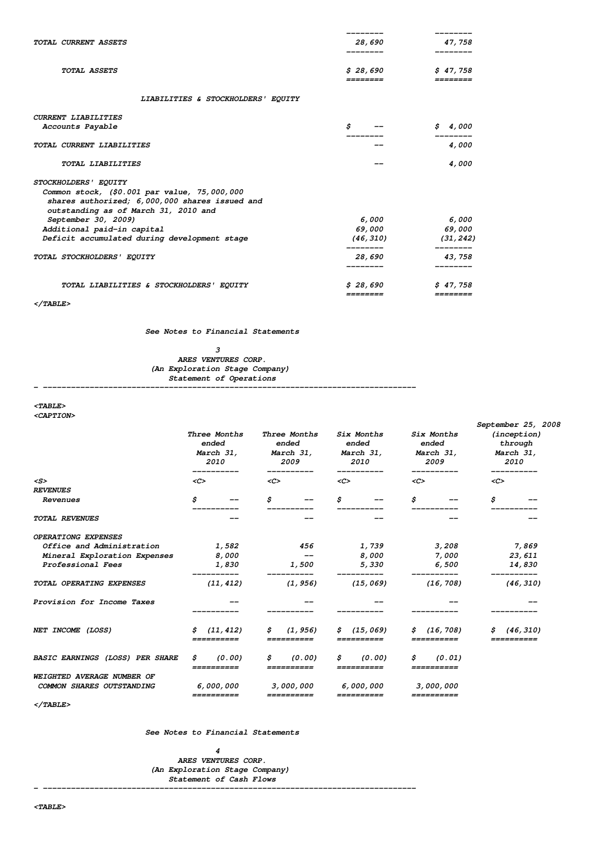| TOTAL CURRENT ASSETS                                                                           | 28,690               | 47,758                       |
|------------------------------------------------------------------------------------------------|----------------------|------------------------------|
| TOTAL ASSETS                                                                                   | \$28,690<br>======== | \$47,758<br>========         |
| LIABILITIES & STOCKHOLDERS' EQUITY                                                             |                      |                              |
|                                                                                                |                      |                              |
| <b>CURRENT LIABILITIES</b>                                                                     |                      |                              |
| Accounts Payable                                                                               | \$                   | \$4,000                      |
| TOTAL CURRENT LIABILITIES                                                                      |                      | 4,000                        |
| TOTAL LIABILITIES                                                                              |                      | 4,000                        |
| STOCKHOLDERS' EQUITY                                                                           |                      |                              |
| Common stock, (\$0.001 par value, 75,000,000<br>shares authorized; 6,000,000 shares issued and |                      |                              |
| outstanding as of March 31, 2010 and                                                           |                      |                              |
| September 30, 2009)                                                                            | 6,000                | 6,000                        |
| Additional paid-in capital                                                                     | 69,000               | 69,000                       |
| Deficit accumulated during development stage                                                   | (46, 310)            | (31, 242)                    |
| TOTAL STOCKHOLDERS' EQUITY                                                                     | 28,690               | -------<br>43,758<br>_______ |
| TOTAL LIABILITIES & STOCKHOLDERS' EQUITY                                                       | \$28,690             | \$47.758                     |
|                                                                                                | ========             | ========                     |
| $\langle$ /TABLE>                                                                              |                      |                              |

**See Notes to Financial Statements**

**3 ARES VENTURES CORP. (An Exploration Stage Company) Statement of Operations - --------------------------------------------------------------------------------**

# **<TABLE> <CAPTION>**

| <b><caption></caption></b>                              |                                 |                  |                                                                                                  |                                 |                                  |                                            |                                  |                     | September 25, 2008                                 |
|---------------------------------------------------------|---------------------------------|------------------|--------------------------------------------------------------------------------------------------|---------------------------------|----------------------------------|--------------------------------------------|----------------------------------|---------------------|----------------------------------------------------|
|                                                         | Three Months<br>ended<br>2010   | ----------       | Three Months<br>ended<br>March 31, March 31, March 31, March 31, March 31,<br>2009<br>__________ | ended                           | Six Months<br>2010<br>__________ | ended                                      | Six Months<br>2009<br>__________ |                     | <i>(inception)</i><br>through<br>2010<br>_________ |
| $\langle S \rangle$                                     | $\langle C \rangle$             |                  | $\langle C \rangle$                                                                              | $\langle C \rangle$             |                                  | $\langle C \rangle$                        |                                  | $\langle C \rangle$ |                                                    |
| <b>REVENUES</b>                                         |                                 |                  |                                                                                                  |                                 |                                  |                                            |                                  |                     |                                                    |
| Revenues                                                | $\mathcal{S}$ and $\mathcal{S}$ |                  | $\mathcal{S}$ and $\mathcal{S}$                                                                  | $\mathcal{S}$ and $\mathcal{S}$ |                                  | $\mathcal{S}$ and the set of $\mathcal{S}$ |                                  | \$                  |                                                    |
| <b>TOTAL REVENUES</b>                                   |                                 |                  |                                                                                                  |                                 |                                  |                                            |                                  |                     |                                                    |
| OPERATIONG EXPENSES                                     |                                 |                  |                                                                                                  |                                 |                                  |                                            |                                  |                     |                                                    |
| Office and Administration                               |                                 |                  | 1,582       456     1,739     3,208      7,869                                                   |                                 |                                  |                                            |                                  |                     |                                                    |
| Mineral Exploration Expenses                            |                                 | 8,000            | and the contract of the                                                                          |                                 | 8,000 7,000 23,611               |                                            |                                  |                     |                                                    |
| Professional Fees                                       |                                 | 1,830            | 1,500                                                                                            |                                 | 5,330                            |                                            | 6,500 14,830                     |                     |                                                    |
| TOTAL OPERATING EXPENSES                                |                                 | (11, 412)        | (1, 956)                                                                                         |                                 | (15, 069)                        |                                            | $(16, 708)$ $(46, 310)$          |                     |                                                    |
| Provision for Income Taxes                              |                                 |                  |                                                                                                  |                                 |                                  |                                            |                                  |                     |                                                    |
| NET INCOME (LOSS)                                       | ==========                      | \$(11, 412)      | $\frac{1}{2}$ (1,956)<br>==========                                                              |                                 | \$(15,069)<br>==========         |                                            | \$(16,708)<br>==========         |                     | \$(46, 310)<br>==========                          |
| <b>BASIC EARNINGS (LOSS) PER SHARE</b>                  | ==========                      | $\dot{s}$ (0.00) | \$<br>(0.00)                                                                                     | \$                              | (0.00)                           |                                            | \$(0.01)                         |                     |                                                    |
| WEIGHTED AVERAGE NUMBER OF<br>COMMON SHARES OUTSTANDING | ==========                      | 6,000,000        | 3,000,000<br>==========                                                                          |                                 | 6,000,000<br>==========          |                                            | 3,000,000<br>==========          |                     |                                                    |
| $\langle$ /TABLE>                                       |                                 |                  |                                                                                                  |                                 |                                  |                                            |                                  |                     |                                                    |

**- --------------------------------------------------------------------------------**

**See Notes to Financial Statements**

**4 ARES VENTURES CORP. (An Exploration Stage Company) Statement of Cash Flows**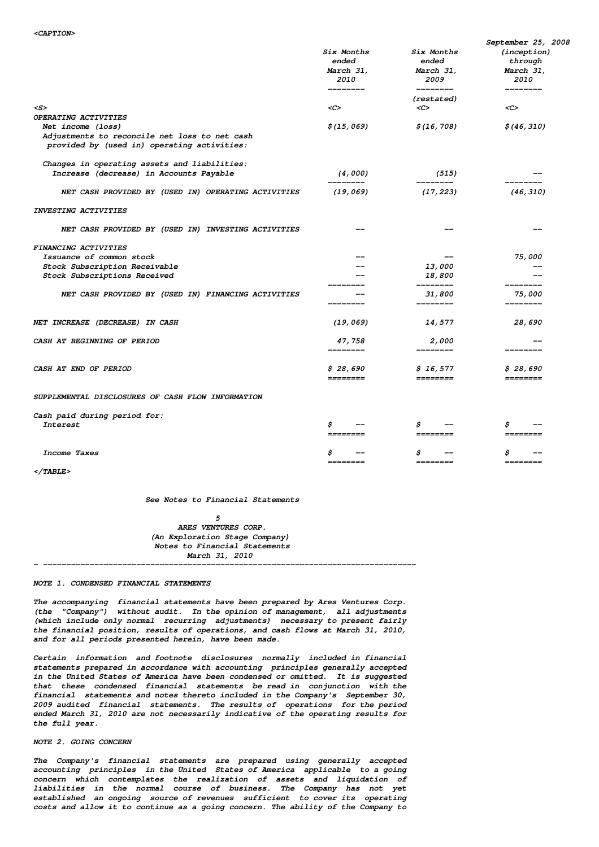|                                                     | Six Months<br>ended<br>March 31,<br><i>2010</i> | Six Months<br>ended<br>March 31,<br>2009<br>________ | September 25, 2008<br><i>(inception)</i><br>through<br>March 31,<br><i>2010</i> |
|-----------------------------------------------------|-------------------------------------------------|------------------------------------------------------|---------------------------------------------------------------------------------|
|                                                     |                                                 | (restated)                                           |                                                                                 |
| <s></s>                                             | $\langle C \rangle$                             | <c></c>                                              | <c></c>                                                                         |
| OPERATING ACTIVITIES<br>Net income (loss)           | \$(15,069)                                      | \$(16, 708)                                          | \$(46, 310)                                                                     |
| Adjustments to reconcile net loss to net cash       |                                                 |                                                      |                                                                                 |
| provided by (used in) operating activities:         |                                                 |                                                      |                                                                                 |
| Changes in operating assets and liabilities:        |                                                 |                                                      |                                                                                 |
| Increase (decrease) in Accounts Payable             | (4,000)                                         | (515)                                                |                                                                                 |
| NET CASH PROVIDED BY (USED IN) OPERATING ACTIVITIES | (19, 069)                                       | (17, 223)                                            | (46, 310)                                                                       |
| <i><b>INVESTING ACTIVITIES</b></i>                  |                                                 |                                                      |                                                                                 |
| NET CASH PROVIDED BY (USED IN) INVESTING ACTIVITIES |                                                 |                                                      |                                                                                 |
| FINANCING ACTIVITIES                                |                                                 |                                                      |                                                                                 |
| Issuance of common stock                            |                                                 |                                                      | 75,000                                                                          |
| Stock Subscription Receivable                       |                                                 | 13,000                                               |                                                                                 |
| Stock Subscriptions Received                        |                                                 | <i><b>18,800</b></i>                                 |                                                                                 |
| NET CASH PROVIDED BY (USED IN) FINANCING ACTIVITIES |                                                 | <i>31,800</i>                                        | 75,000                                                                          |
| NET INCREASE (DECREASE) IN CASH                     | (19,069)                                        | 14,577                                               | 28,690                                                                          |
| CASH AT BEGINNING OF PERIOD                         | 47,758<br>---------                             | 2,000<br>---------                                   |                                                                                 |
| CASH AT END OF PERIOD                               | \$28,690                                        | \$16,577                                             | \$28,690                                                                        |
|                                                     | ========                                        | ========                                             | ========                                                                        |
| SUPPLEMENTAL DISCLOSURES OF CASH FLOW INFORMATION   |                                                 |                                                      |                                                                                 |
| Cash paid during period for:                        |                                                 |                                                      |                                                                                 |
| Interest                                            | Ŝ                                               | \$                                                   | S                                                                               |
|                                                     | ========                                        | ========                                             | ========                                                                        |
| Income Taxes                                        | S                                               | \$                                                   |                                                                                 |
|                                                     | ---------                                       | ---------                                            | --------                                                                        |

**</TABLE>**

**See Notes to Financial Statements**

**5 ARES VENTURES CORP. (An Exploration Stage Company) Notes to Financial Statements March 31, 2010**

**- --------------------------------------------------------------------------------**

#### **NOTE 1. CONDENSED FINANCIAL STATEMENTS**

**The accompanying financial statements have been prepared by Ares Ventures Corp. (the "Company") without audit. In the opinion of management, all adjustments (which include only normal recurring adjustments) necessary to present fairly the financial position, results of operations, and cash flows at March 31, 2010, and for all periods presented herein, have been made.**

**Certain information and footnote disclosures normally included in financial statements prepared in accordance with accounting principles generally accepted in the United States of America have been condensed or omitted. It is suggested that these condensed financial statements be read in conjunction with the financial statements and notes thereto included in the Company's September 30, 2009 audited financial statements. The results of operations for the period ended March 31, 2010 are not necessarily indicative of the operating results for the full year.**

# **NOTE 2. GOING CONCERN**

**The Company's financial statements are prepared using generally accepted accounting principles in the United States of America applicable to a going concern which contemplates the realization of assets and liquidation of liabilities in the normal course of business. The Company has not yet established an ongoing source of revenues sufficient to cover its operating costs and allow it to continue as a going concern. The ability of the Company to**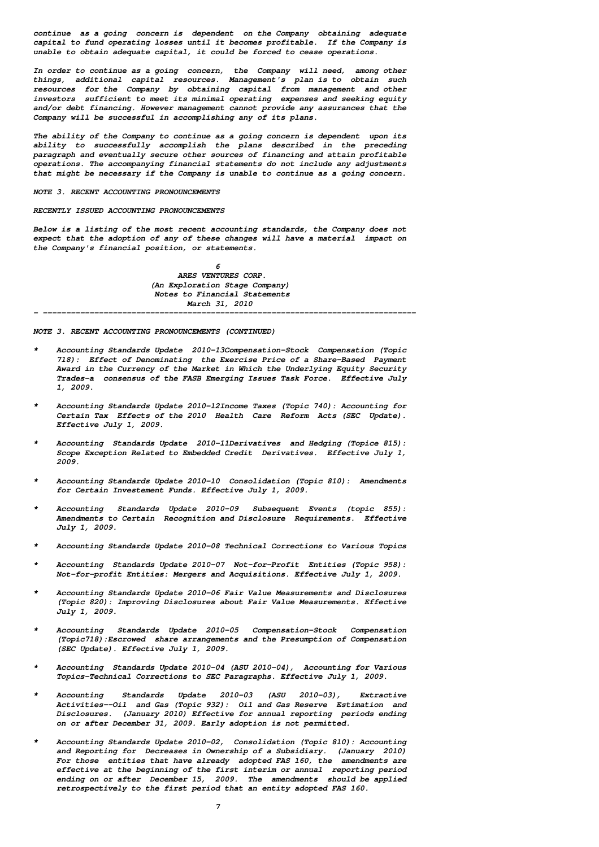**continue as a going concern is dependent on the Company obtaining adequate capital to fund operating losses until it becomes profitable. If the Company is unable to obtain adequate capital, it could be forced to cease operations.**

**In order to continue as a going concern, the Company will need, among other things, additional capital resources. Management's plan is to obtain such resources for the Company by obtaining capital from management and other investors sufficient to meet its minimal operating expenses and seeking equity and/or debt financing. However management cannot provide any assurances that the Company will be successful in accomplishing any of its plans.**

**The ability of the Company to continue as a going concern is dependent upon its ability to successfully accomplish the plans described in the preceding paragraph and eventually secure other sources of financing and attain profitable operations. The accompanying financial statements do not include any adjustments that might be necessary if the Company is unable to continue as a going concern.**

# **NOTE 3. RECENT ACCOUNTING PRONOUNCEMENTS**

### **RECENTLY ISSUED ACCOUNTING PRONOUNCEMENTS**

**Below is a listing of the most recent accounting standards, the Company does not expect that the adoption of any of these changes will have a material impact on the Company's financial position, or statements.**

> **6 ARES VENTURES CORP. (An Exploration Stage Company) Notes to Financial Statements March 31, 2010**

**- --------------------------------------------------------------------------------**

# **NOTE 3. RECENT ACCOUNTING PRONOUNCEMENTS (CONTINUED)**

- **\* Accounting Standards Update 2010-13Compensation-Stock Compensation (Topic 718): Effect of Denominating the Exercise Price of a Share-Based Payment Award in the Currency of the Market in Which the Underlying Equity Security Trades-a consensus of the FASB Emerging Issues Task Force. Effective July 1, 2009.**
- **\* Accounting Standards Update 2010-12Income Taxes (Topic 740): Accounting for Certain Tax Effects of the 2010 Health Care Reform Acts (SEC Update). Effective July 1, 2009.**
- **\* Accounting Standards Update 2010-11Derivatives and Hedging (Topice 815): Scope Exception Related to Embedded Credit Derivatives. Effective July 1, 2009.**
- **\* Accounting Standards Update 2010-10 Consolidation (Topic 810): Amendments for Certain Investement Funds. Effective July 1, 2009.**
- **\* Accounting Standards Update 2010-09 Subsequent Events (topic 855): Amendments to Certain Recognition and Disclosure Requirements. Effective July 1, 2009.**
- **\* Accounting Standards Update 2010-08 Technical Corrections to Various Topics**
- **\* Accounting Standards Update 2010-07 Not-for-Profit Entities (Topic 958): Not-for-profit Entities: Mergers and Acquisitions. Effective July 1, 2009.**
- **\* Accounting Standards Update 2010-06 Fair Value Measurements and Disclosures (Topic 820): Improving Disclosures about Fair Value Measurements. Effective July 1, 2009.**
- **\* Accounting Standards Update 2010-05 Compensation-Stock Compensation (Topic718):Escrowed share arrangements and the Presumption of Compensation (SEC Update). Effective July 1, 2009.**
- **\* Accounting Standards Update 2010-04 (ASU 2010-04), Accounting for Various Topics-Technical Corrections to SEC Paragraphs. Effective July 1, 2009.**
- **\* Accounting Standards Update 2010-03 (ASU 2010-03), Extractive Activities--Oil and Gas (Topic 932): Oil and Gas Reserve Estimation and Disclosures. (January 2010) Effective for annual reporting periods ending on or after December 31, 2009. Early adoption is not permitted.**
- **\* Accounting Standards Update 2010-02, Consolidation (Topic 810): Accounting and Reporting for Decreases in Ownership of a Subsidiary. (January 2010) For those entities that have already adopted FAS 160, the amendments are effective at the beginning of the first interim or annual reporting period ending on or after December 15, 2009. The amendments should be applied retrospectively to the first period that an entity adopted FAS 160.**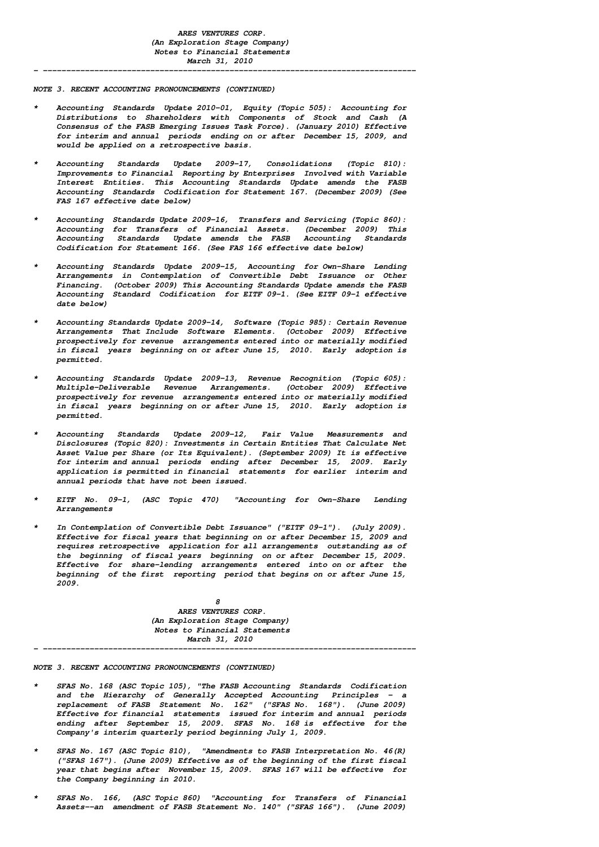**- --------------------------------------------------------------------------------**

**NOTE 3. RECENT ACCOUNTING PRONOUNCEMENTS (CONTINUED)**

- **\* Accounting Standards Update 2010-01, Equity (Topic 505): Accounting for Distributions to Shareholders with Components of Stock and Cash (A Consensus of the FASB Emerging Issues Task Force). (January 2010) Effective for interim and annual periods ending on or after December 15, 2009, and would be applied on a retrospective basis.**
- **\* Accounting Standards Update 2009-17, Consolidations (Topic 810): Improvements to Financial Reporting by Enterprises Involved with Variable Interest Entities. This Accounting Standards Update amends the FASB Accounting Standards Codification for Statement 167. (December 2009) (See FAS 167 effective date below)**
- **\* Accounting Standards Update 2009-16, Transfers and Servicing (Topic 860): Accounting for Transfers of Financial Assets. (December 2009) This Accounting Standards Update amends the FASB Accounting Standards Codification for Statement 166. (See FAS 166 effective date below)**
- **\* Accounting Standards Update 2009-15, Accounting for Own-Share Lending Arrangements in Contemplation of Convertible Debt Issuance or Other Financing. (October 2009) This Accounting Standards Update amends the FASB Accounting Standard Codification for EITF 09-1. (See EITF 09-1 effective date below)**
- **\* Accounting Standards Update 2009-14, Software (Topic 985): Certain Revenue Arrangements That Include Software Elements. (October 2009) Effective prospectively for revenue arrangements entered into or materially modified in fiscal years beginning on or after June 15, 2010. Early adoption is permitted.**
- **\* Accounting Standards Update 2009-13, Revenue Recognition (Topic 605): Multiple-Deliverable Revenue Arrangements. (October 2009) Effective prospectively for revenue arrangements entered into or materially modified in fiscal years beginning on or after June 15, 2010. Early adoption is permitted.**
- **\* Accounting Standards Update 2009-12, Fair Value Measurements and Disclosures (Topic 820): Investments in Certain Entities That Calculate Net Asset Value per Share (or Its Equivalent). (September 2009) It is effective for interim and annual periods ending after December 15, 2009. Early application is permitted in financial statements for earlier interim and annual periods that have not been issued.**
- **\* EITF No. 09-1, (ASC Topic 470) "Accounting for Own-Share Lending Arrangements**
- **\* In Contemplation of Convertible Debt Issuance" ("EITF 09-1"). (July 2009). Effective for fiscal years that beginning on or after December 15, 2009 and requires retrospective application for all arrangements outstanding as of the beginning of fiscal years beginning on or after December 15, 2009. Effective for share-lending arrangements entered into on or after the beginning of the first reporting period that begins on or after June 15, 2009.**

**8 ARES VENTURES CORP. (An Exploration Stage Company) Notes to Financial Statements March 31, 2010 - --------------------------------------------------------------------------------**

**NOTE 3. RECENT ACCOUNTING PRONOUNCEMENTS (CONTINUED)**

- **\* SFAS No. 168 (ASC Topic 105), "The FASB Accounting Standards Codification and the Hierarchy of Generally Accepted Accounting Principles - a replacement of FASB Statement No. 162" ("SFAS No. 168"). (June 2009) Effective for financial statements issued for interim and annual periods ending after September 15, 2009. SFAS No. 168 is effective for the Company's interim quarterly period beginning July 1, 2009.**
- **\* SFAS No. 167 (ASC Topic 810), "Amendments to FASB Interpretation No. 46(R) ("SFAS 167"). (June 2009) Effective as of the beginning of the first fiscal year that begins after November 15, 2009. SFAS 167 will be effective for the Company beginning in 2010.**
- **\* SFAS No. 166, (ASC Topic 860) "Accounting for Transfers of Financial Assets--an amendment of FASB Statement No. 140" ("SFAS 166"). (June 2009)**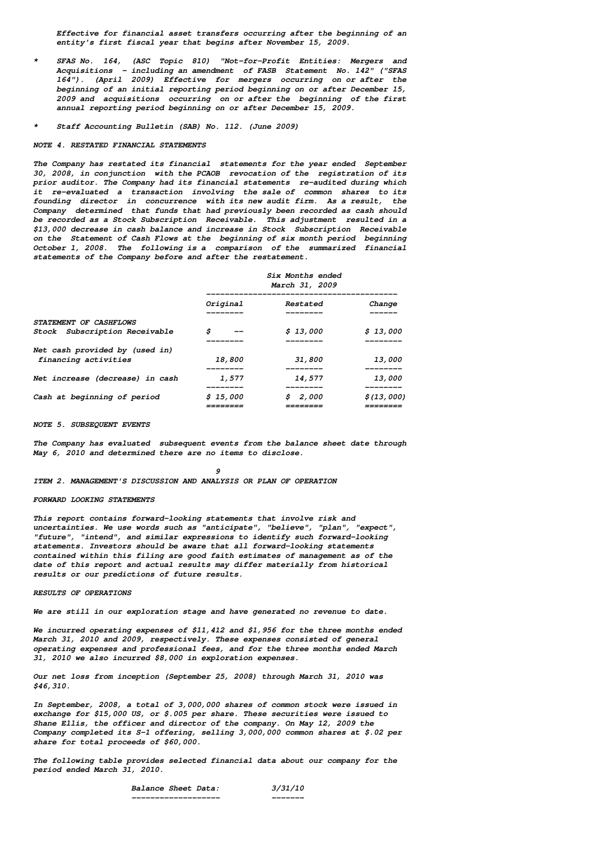**Effective for financial asset transfers occurring after the beginning of an entity's first fiscal year that begins after November 15, 2009.**

- **\* SFAS No. 164, (ASC Topic 810) "Not-for-Profit Entities: Mergers and Acquisitions - including an amendment of FASB Statement No. 142" ("SFAS 164"). (April 2009) Effective for mergers occurring on or after the beginning of an initial reporting period beginning on or after December 15, 2009 and acquisitions occurring on or after the beginning of the first annual reporting period beginning on or after December 15, 2009.**
- **\* Staff Accounting Bulletin (SAB) No. 112. (June 2009)**

## **NOTE 4. RESTATED FINANCIAL STATEMENTS**

**The Company has restated its financial statements for the year ended September 30, 2008, in conjunction with the PCAOB revocation of the registration of its prior auditor. The Company had its financial statements re-audited during which it re-evaluated a transaction involving the sale of common shares to its founding director in concurrence with its new audit firm. As a result, the Company determined that funds that had previously been recorded as cash should be recorded as a Stock Subscription Receivable. This adjustment resulted in a \$13,000 decrease in cash balance and increase in Stock Subscription Receivable on the Statement of Cash Flows at the beginning of six month period beginning October 1, 2008. The following is a comparison of the summarized financial statements of the Company before and after the restatement.**

|                                                        |                      | Six Months ended<br>March 31, 2009 |                                  |
|--------------------------------------------------------|----------------------|------------------------------------|----------------------------------|
|                                                        | Original             | Restated                           | Change                           |
| STATEMENT OF CASHFLOWS                                 |                      |                                    |                                  |
| Stock Subscription Receivable                          | \$                   | \$13,000                           | \$13,000                         |
| Net cash provided by (used in)<br>financing activities | <i><b>18,800</b></i> | 31,800                             | <i><b>13,000</b></i>             |
|                                                        |                      | -------                            | ---------                        |
| Net increase (decrease) in cash                        | 1,577                | 14,577                             | <i><b>13,000</b></i>             |
| Cash at beginning of period                            | \$15,000             | 2,000<br>\$<br>======              | --------<br>\$(13,000)<br>------ |

#### **NOTE 5. SUBSEQUENT EVENTS**

**The Company has evaluated subsequent events from the balance sheet date through May 6, 2010 and determined there are no items to disclose.**

**9**

**ITEM 2. MANAGEMENT'S DISCUSSION AND ANALYSIS OR PLAN OF OPERATION**

### **FORWARD LOOKING STATEMENTS**

**This report contains forward-looking statements that involve risk and uncertainties. We use words such as "anticipate", "believe", "plan", "expect", "future", "intend", and similar expressions to identify such forward-looking statements. Investors should be aware that all forward-looking statements contained within this filing are good faith estimates of management as of the date of this report and actual results may differ materially from historical results or our predictions of future results.**

# **RESULTS OF OPERATIONS**

**We are still in our exploration stage and have generated no revenue to date.**

**We incurred operating expenses of \$11,412 and \$1,956 for the three months ended March 31, 2010 and 2009, respectively. These expenses consisted of general operating expenses and professional fees, and for the three months ended March 31, 2010 we also incurred \$8,000 in exploration expenses.**

**Our net loss from inception (September 25, 2008) through March 31, 2010 was \$46,310.**

**In September, 2008, a total of 3,000,000 shares of common stock were issued in exchange for \$15,000 US, or \$.005 per share. These securities were issued to Shane Ellis, the officer and director of the company. On May 12, 2009 the Company completed its S-1 offering, selling 3,000,000 common shares at \$.02 per share for total proceeds of \$60,000.**

**The following table provides selected financial data about our company for the period ended March 31, 2010.**

| Balance Sheet Data: | <i>3/31/10</i> |
|---------------------|----------------|
| ____________        | _____          |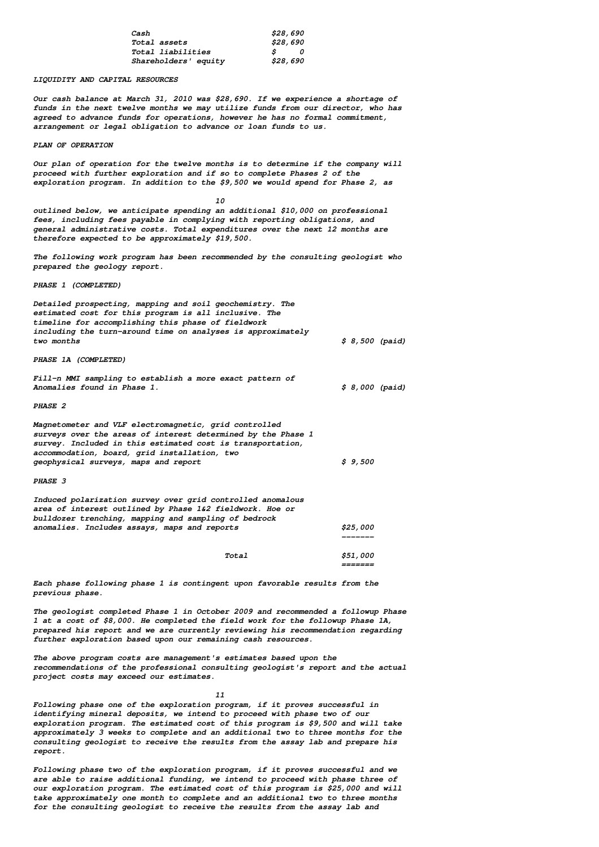| Cash                     | \$28,690 |
|--------------------------|----------|
| Total assets             | \$28,690 |
| <i>Total liabilities</i> | s.<br>0  |
| Shareholders' equity     | \$28,690 |

# **LIQUIDITY AND CAPITAL RESOURCES**

**Our cash balance at March 31, 2010 was \$28,690. If we experience a shortage of funds in the next twelve months we may utilize funds from our director, who has agreed to advance funds for operations, however he has no formal commitment, arrangement or legal obligation to advance or loan funds to us.**

## **PLAN OF OPERATION**

**Our plan of operation for the twelve months is to determine if the company will proceed with further exploration and if so to complete Phases 2 of the exploration program. In addition to the \$9,500 we would spend for Phase 2, as**

**10 outlined below, we anticipate spending an additional \$10,000 on professional fees, including fees payable in complying with reporting obligations, and general administrative costs. Total expenditures over the next 12 months are therefore expected to be approximately \$19,500.**

**The following work program has been recommended by the consulting geologist who prepared the geology report.**

**PHASE 1 (COMPLETED)**

| Detailed prospecting, mapping and soil geochemistry. The<br>estimated cost for this program is all inclusive. The<br>timeline for accomplishing this phase of fieldwork<br>including the turn-around time on analyses is approximately                                      |       |                        |  |
|-----------------------------------------------------------------------------------------------------------------------------------------------------------------------------------------------------------------------------------------------------------------------------|-------|------------------------|--|
| two months                                                                                                                                                                                                                                                                  |       | \$8,500 (paid)         |  |
| PHASE 1A (COMPLETED)                                                                                                                                                                                                                                                        |       |                        |  |
| Fill-n MMI sampling to establish a more exact pattern of<br>Anomalies found in Phase 1.                                                                                                                                                                                     |       | \$8,000 (paid)         |  |
| PHASE 2                                                                                                                                                                                                                                                                     |       |                        |  |
| Magnetometer and VLF electromagnetic, grid controlled<br>surveys over the areas of interest determined by the Phase 1<br>survey. Included in this estimated cost is transportation,<br>accommodation, board, grid installation, two<br>geophysical surveys, maps and report |       | \$9,500                |  |
|                                                                                                                                                                                                                                                                             |       |                        |  |
| PHASE 3                                                                                                                                                                                                                                                                     |       |                        |  |
| Induced polarization survey over grid controlled anomalous<br>area of interest outlined by Phase 1&2 fieldwork. Hoe or<br>bulldozer trenching, mapping and sampling of bedrock                                                                                              |       |                        |  |
| anomalies. Includes assays, maps and reports                                                                                                                                                                                                                                |       | <i><b>\$25,000</b></i> |  |
|                                                                                                                                                                                                                                                                             |       |                        |  |
|                                                                                                                                                                                                                                                                             | Total | <i><b>\$51,000</b></i> |  |
|                                                                                                                                                                                                                                                                             |       | =======                |  |

**Each phase following phase 1 is contingent upon favorable results from the previous phase.**

**The geologist completed Phase 1 in October 2009 and recommended a followup Phase 1 at a cost of \$8,000. He completed the field work for the followup Phase 1A, prepared his report and we are currently reviewing his recommendation regarding further exploration based upon our remaining cash resources.**

**The above program costs are management's estimates based upon the recommendations of the professional consulting geologist's report and the actual project costs may exceed our estimates.**

**11**

**Following phase one of the exploration program, if it proves successful in identifying mineral deposits, we intend to proceed with phase two of our exploration program. The estimated cost of this program is \$9,500 and will take approximately 3 weeks to complete and an additional two to three months for the consulting geologist to receive the results from the assay lab and prepare his report.**

**Following phase two of the exploration program, if it proves successful and we are able to raise additional funding, we intend to proceed with phase three of our exploration program. The estimated cost of this program is \$25,000 and will take approximately one month to complete and an additional two to three months for the consulting geologist to receive the results from the assay lab and**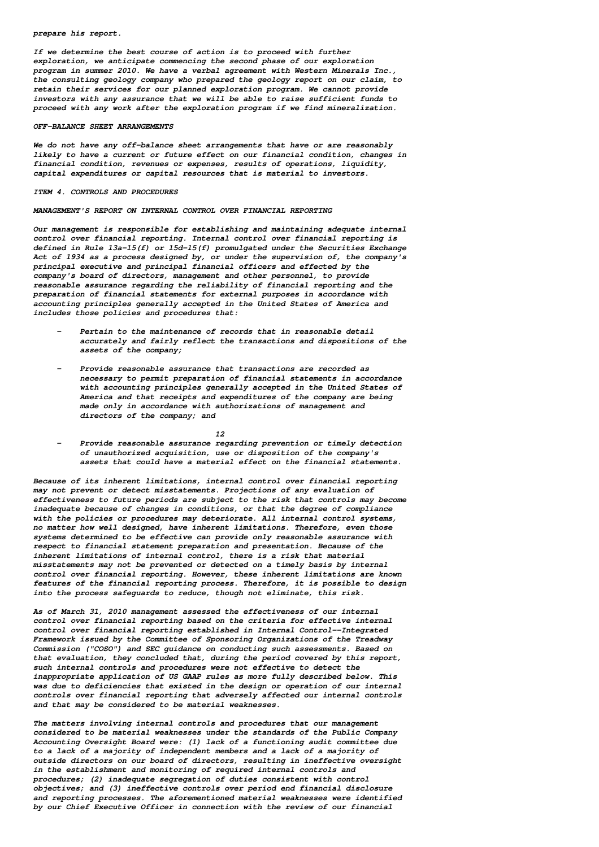#### **prepare his report.**

**If we determine the best course of action is to proceed with further exploration, we anticipate commencing the second phase of our exploration program in summer 2010. We have a verbal agreement with Western Minerals Inc., the consulting geology company who prepared the geology report on our claim, to retain their services for our planned exploration program. We cannot provide investors with any assurance that we will be able to raise sufficient funds to proceed with any work after the exploration program if we find mineralization.**

# **OFF-BALANCE SHEET ARRANGEMENTS**

**We do not have any off-balance sheet arrangements that have or are reasonably likely to have a current or future effect on our financial condition, changes in financial condition, revenues or expenses, results of operations, liquidity, capital expenditures or capital resources that is material to investors.**

## **ITEM 4. CONTROLS AND PROCEDURES**

## **MANAGEMENT'S REPORT ON INTERNAL CONTROL OVER FINANCIAL REPORTING**

**Our management is responsible for establishing and maintaining adequate internal control over financial reporting. Internal control over financial reporting is defined in Rule 13a-15(f) or 15d-15(f) promulgated under the Securities Exchange Act of 1934 as a process designed by, or under the supervision of, the company's principal executive and principal financial officers and effected by the company's board of directors, management and other personnel, to provide reasonable assurance regarding the reliability of financial reporting and the preparation of financial statements for external purposes in accordance with accounting principles generally accepted in the United States of America and includes those policies and procedures that:**

- **- Pertain to the maintenance of records that in reasonable detail accurately and fairly reflect the transactions and dispositions of the assets of the company;**
- **- Provide reasonable assurance that transactions are recorded as necessary to permit preparation of financial statements in accordance with accounting principles generally accepted in the United States of America and that receipts and expenditures of the company are being made only in accordance with authorizations of management and directors of the company; and**

#### **12**

**- Provide reasonable assurance regarding prevention or timely detection of unauthorized acquisition, use or disposition of the company's assets that could have a material effect on the financial statements.**

**Because of its inherent limitations, internal control over financial reporting may not prevent or detect misstatements. Projections of any evaluation of effectiveness to future periods are subject to the risk that controls may become inadequate because of changes in conditions, or that the degree of compliance with the policies or procedures may deteriorate. All internal control systems, no matter how well designed, have inherent limitations. Therefore, even those systems determined to be effective can provide only reasonable assurance with respect to financial statement preparation and presentation. Because of the inherent limitations of internal control, there is a risk that material misstatements may not be prevented or detected on a timely basis by internal control over financial reporting. However, these inherent limitations are known features of the financial reporting process. Therefore, it is possible to design into the process safeguards to reduce, though not eliminate, this risk.**

**As of March 31, 2010 management assessed the effectiveness of our internal control over financial reporting based on the criteria for effective internal control over financial reporting established in Internal Control--Integrated Framework issued by the Committee of Sponsoring Organizations of the Treadway Commission ("COSO") and SEC guidance on conducting such assessments. Based on that evaluation, they concluded that, during the period covered by this report, such internal controls and procedures were not effective to detect the inappropriate application of US GAAP rules as more fully described below. This was due to deficiencies that existed in the design or operation of our internal controls over financial reporting that adversely affected our internal controls and that may be considered to be material weaknesses.**

**The matters involving internal controls and procedures that our management considered to be material weaknesses under the standards of the Public Company Accounting Oversight Board were: (1) lack of a functioning audit committee due to a lack of a majority of independent members and a lack of a majority of outside directors on our board of directors, resulting in ineffective oversight in the establishment and monitoring of required internal controls and procedures; (2) inadequate segregation of duties consistent with control objectives; and (3) ineffective controls over period end financial disclosure and reporting processes. The aforementioned material weaknesses were identified by our Chief Executive Officer in connection with the review of our financial**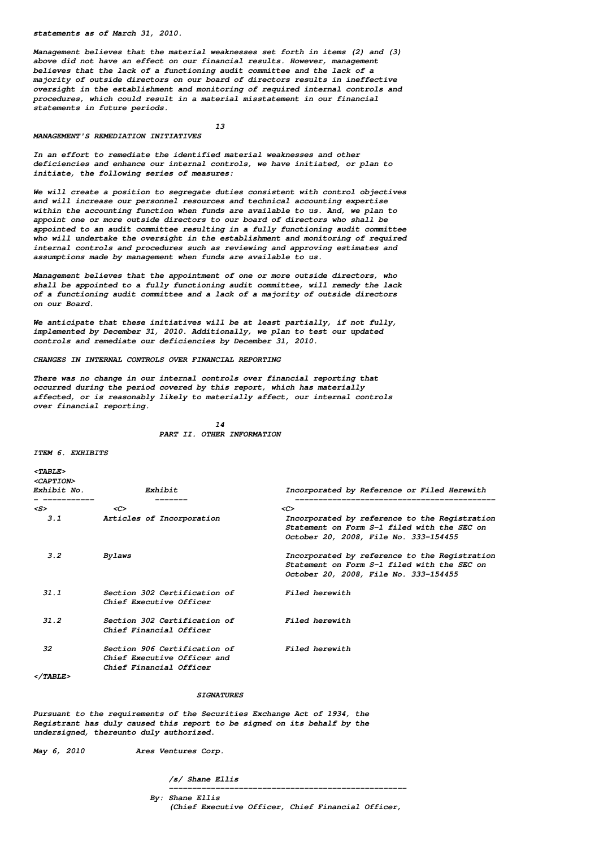**statements as of March 31, 2010.**

**Management believes that the material weaknesses set forth in items (2) and (3) above did not have an effect on our financial results. However, management believes that the lack of a functioning audit committee and the lack of a majority of outside directors on our board of directors results in ineffective oversight in the establishment and monitoring of required internal controls and procedures, which could result in a material misstatement in our financial statements in future periods.**

**13**

# **MANAGEMENT'S REMEDIATION INITIATIVES**

**In an effort to remediate the identified material weaknesses and other deficiencies and enhance our internal controls, we have initiated, or plan to initiate, the following series of measures:**

**We will create a position to segregate duties consistent with control objectives and will increase our personnel resources and technical accounting expertise within the accounting function when funds are available to us. And, we plan to appoint one or more outside directors to our board of directors who shall be appointed to an audit committee resulting in a fully functioning audit committee who will undertake the oversight in the establishment and monitoring of required internal controls and procedures such as reviewing and approving estimates and assumptions made by management when funds are available to us.**

**Management believes that the appointment of one or more outside directors, who shall be appointed to a fully functioning audit committee, will remedy the lack of a functioning audit committee and a lack of a majority of outside directors on our Board.**

**We anticipate that these initiatives will be at least partially, if not fully, implemented by December 31, 2010. Additionally, we plan to test our updated controls and remediate our deficiencies by December 31, 2010.**

# **CHANGES IN INTERNAL CONTROLS OVER FINANCIAL REPORTING**

**There was no change in our internal controls over financial reporting that occurred during the period covered by this report, which has materially affected, or is reasonably likely to materially affect, our internal controls over financial reporting.**

## **14 PART II. OTHER INFORMATION**

#### **ITEM 6. EXHIBITS**

| $TABLE$<br><caption><br/>Exhibit No.<br/>-----------</caption> | Exhibit                                                                                | Incorporated by Reference or Filed Herewith                                                                                           |
|----------------------------------------------------------------|----------------------------------------------------------------------------------------|---------------------------------------------------------------------------------------------------------------------------------------|
| <s></s>                                                        | $\langle C \rangle$                                                                    | $\langle C \rangle$                                                                                                                   |
| 3.1                                                            | Articles of Incorporation                                                              | Incorporated by reference to the Registration<br>Statement on Form S-1 filed with the SEC on<br>October 20, 2008, File No. 333-154455 |
| 3.2                                                            | Bylaws                                                                                 | Incorporated by reference to the Registration<br>Statement on Form S-1 filed with the SEC on<br>October 20, 2008, File No. 333-154455 |
| 31.1                                                           | Section 302 Certification of<br>Chief Executive Officer                                | Filed herewith                                                                                                                        |
| 31.2                                                           | Section 302 Certification of<br>Chief Financial Officer                                | <b>Filed herewith</b>                                                                                                                 |
| 32                                                             | Section 906 Certification of<br>Chief Executive Officer and<br>Chief Financial Officer | <b>Filed</b> herewith                                                                                                                 |
| <i></i>                                                        |                                                                                        |                                                                                                                                       |

  |  |# **SIGNATURES**

**Pursuant to the requirements of the Securities Exchange Act of 1934, the Registrant has duly caused this report to be signed on its behalf by the undersigned, thereunto duly authorized.**

**May 6, 2010 Ares Ventures Corp.**

**/s/ Shane Ellis**

**---------------------------------------------------**

**By: Shane Ellis (Chief Executive Officer, Chief Financial Officer,**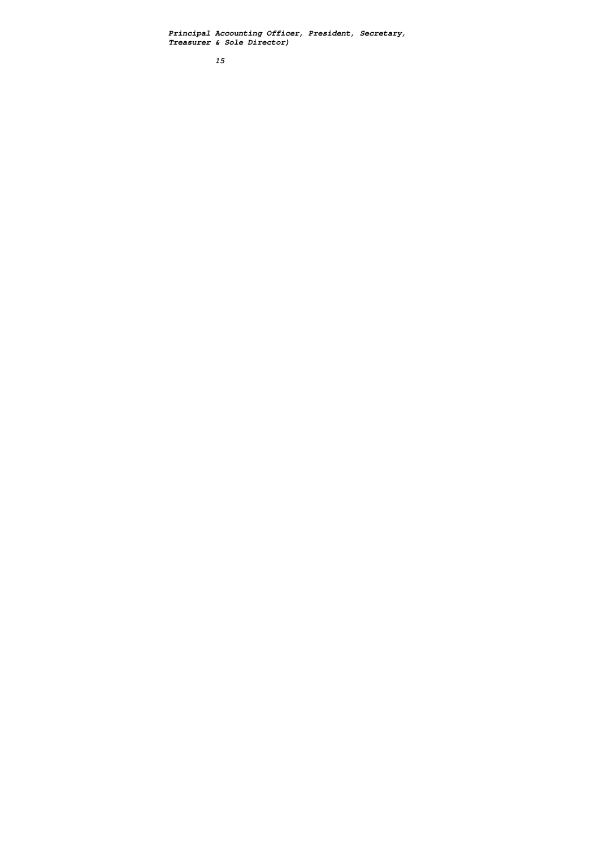**Principal Accounting Officer, President, Secretary, Treasurer & Sole Director)**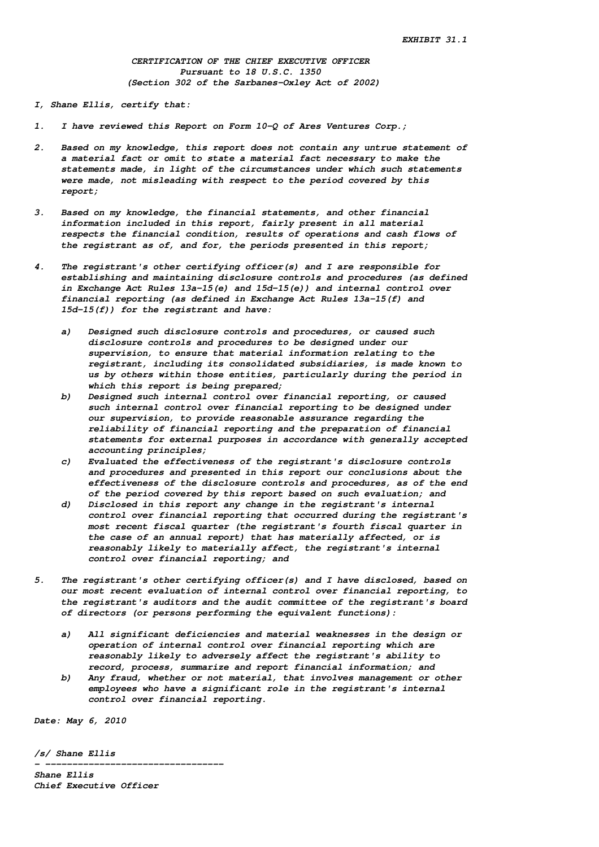**CERTIFICATION OF THE CHIEF EXECUTIVE OFFICER Pursuant to 18 U.S.C. 1350 (Section 302 of the Sarbanes-Oxley Act of 2002)**

- **I, Shane Ellis, certify that:**
- **1. I have reviewed this Report on Form 10-Q of Ares Ventures Corp.;**
- **2. Based on my knowledge, this report does not contain any untrue statement of a material fact or omit to state a material fact necessary to make the statements made, in light of the circumstances under which such statements were made, not misleading with respect to the period covered by this report;**
- **3. Based on my knowledge, the financial statements, and other financial information included in this report, fairly present in all material respects the financial condition, results of operations and cash flows of the registrant as of, and for, the periods presented in this report;**
- **4. The registrant's other certifying officer(s) and I are responsible for establishing and maintaining disclosure controls and procedures (as defined in Exchange Act Rules 13a-15(e) and 15d-15(e)) and internal control over financial reporting (as defined in Exchange Act Rules 13a-15(f) and 15d-15(f)) for the registrant and have:**
	- **a) Designed such disclosure controls and procedures, or caused such disclosure controls and procedures to be designed under our supervision, to ensure that material information relating to the registrant, including its consolidated subsidiaries, is made known to us by others within those entities, particularly during the period in which this report is being prepared;**
	- **b) Designed such internal control over financial reporting, or caused such internal control over financial reporting to be designed under our supervision, to provide reasonable assurance regarding the reliability of financial reporting and the preparation of financial statements for external purposes in accordance with generally accepted accounting principles;**
	- **c) Evaluated the effectiveness of the registrant's disclosure controls and procedures and presented in this report our conclusions about the effectiveness of the disclosure controls and procedures, as of the end of the period covered by this report based on such evaluation; and**
	- **d) Disclosed in this report any change in the registrant's internal control over financial reporting that occurred during the registrant's most recent fiscal quarter (the registrant's fourth fiscal quarter in the case of an annual report) that has materially affected, or is reasonably likely to materially affect, the registrant's internal control over financial reporting; and**
- **5. The registrant's other certifying officer(s) and I have disclosed, based on our most recent evaluation of internal control over financial reporting, to the registrant's auditors and the audit committee of the registrant's board of directors (or persons performing the equivalent functions):**
	- **a) All significant deficiencies and material weaknesses in the design or operation of internal control over financial reporting which are reasonably likely to adversely affect the registrant's ability to record, process, summarize and report financial information; and**
	- **b) Any fraud, whether or not material, that involves management or other employees who have a significant role in the registrant's internal control over financial reporting.**

**Date: May 6, 2010**

**/s/ Shane Ellis**

**- --------------------------------- Shane Ellis Chief Executive Officer**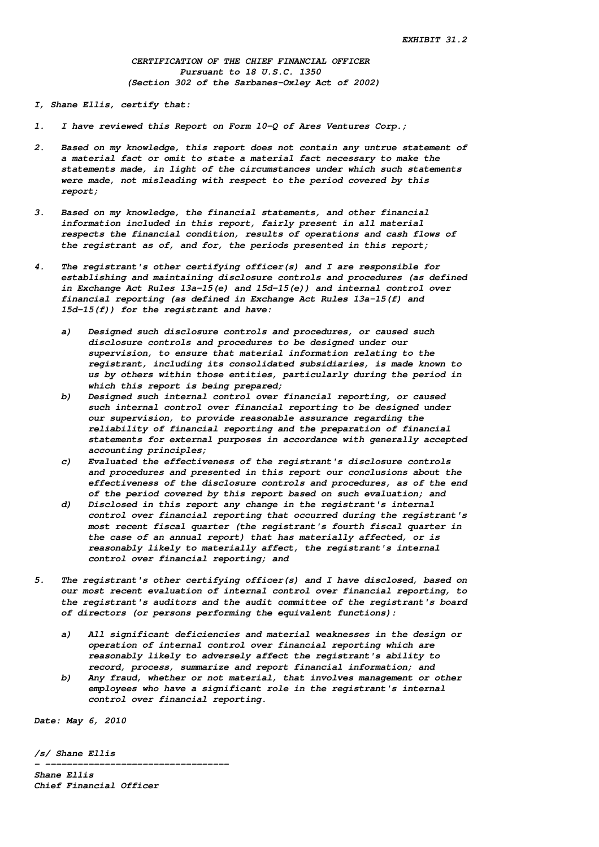**CERTIFICATION OF THE CHIEF FINANCIAL OFFICER Pursuant to 18 U.S.C. 1350 (Section 302 of the Sarbanes-Oxley Act of 2002)**

- **I, Shane Ellis, certify that:**
- **1. I have reviewed this Report on Form 10-Q of Ares Ventures Corp.;**
- **2. Based on my knowledge, this report does not contain any untrue statement of a material fact or omit to state a material fact necessary to make the statements made, in light of the circumstances under which such statements were made, not misleading with respect to the period covered by this report;**
- **3. Based on my knowledge, the financial statements, and other financial information included in this report, fairly present in all material respects the financial condition, results of operations and cash flows of the registrant as of, and for, the periods presented in this report;**
- **4. The registrant's other certifying officer(s) and I are responsible for establishing and maintaining disclosure controls and procedures (as defined in Exchange Act Rules 13a-15(e) and 15d-15(e)) and internal control over financial reporting (as defined in Exchange Act Rules 13a-15(f) and 15d-15(f)) for the registrant and have:**
	- **a) Designed such disclosure controls and procedures, or caused such disclosure controls and procedures to be designed under our supervision, to ensure that material information relating to the registrant, including its consolidated subsidiaries, is made known to us by others within those entities, particularly during the period in which this report is being prepared;**
	- **b) Designed such internal control over financial reporting, or caused such internal control over financial reporting to be designed under our supervision, to provide reasonable assurance regarding the reliability of financial reporting and the preparation of financial statements for external purposes in accordance with generally accepted accounting principles;**
	- **c) Evaluated the effectiveness of the registrant's disclosure controls and procedures and presented in this report our conclusions about the effectiveness of the disclosure controls and procedures, as of the end of the period covered by this report based on such evaluation; and**
	- **d) Disclosed in this report any change in the registrant's internal control over financial reporting that occurred during the registrant's most recent fiscal quarter (the registrant's fourth fiscal quarter in the case of an annual report) that has materially affected, or is reasonably likely to materially affect, the registrant's internal control over financial reporting; and**
- **5. The registrant's other certifying officer(s) and I have disclosed, based on our most recent evaluation of internal control over financial reporting, to the registrant's auditors and the audit committee of the registrant's board of directors (or persons performing the equivalent functions):**
	- **a) All significant deficiencies and material weaknesses in the design or operation of internal control over financial reporting which are reasonably likely to adversely affect the registrant's ability to record, process, summarize and report financial information; and**
	- **b) Any fraud, whether or not material, that involves management or other employees who have a significant role in the registrant's internal control over financial reporting.**

**Date: May 6, 2010**

**/s/ Shane Ellis**

**- ---------------------------------- Shane Ellis Chief Financial Officer**